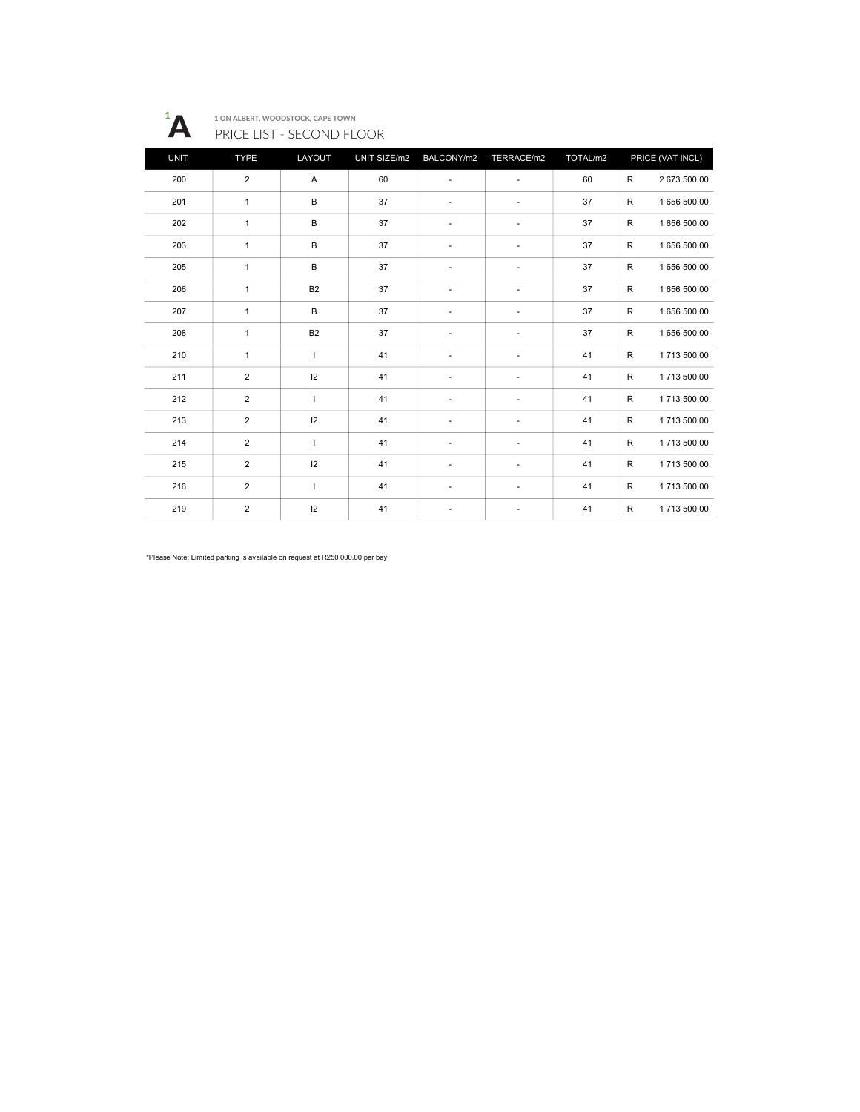

1 ON ALBERT, WOODSTOCK, CAPE TOWN PRICE LIST - SECOND FLOOR

| <b>UNIT</b> | <b>TYPE</b>    | LAYOUT         | UNIT SIZE/m2 | BALCONY/m2               | TERRACE/m2               | TOTAL/m2 | PRICE (VAT INCL)             |
|-------------|----------------|----------------|--------------|--------------------------|--------------------------|----------|------------------------------|
| 200         | $\overline{2}$ | A              | 60           | $\frac{1}{2}$            | $\overline{\phantom{a}}$ | 60       | $\mathsf{R}$<br>2 673 500,00 |
| 201         | $\mathbf{1}$   | B              | 37           | $\overline{\phantom{a}}$ | ٠                        | 37       | 1 656 500,00<br>$\mathsf{R}$ |
| 202         | $\mathbf{1}$   | B              | 37           | ä,                       | ٠                        | 37       | 1 656 500,00<br>$\mathsf{R}$ |
| 203         | $\mathbf{1}$   | B              | 37           | ٠                        |                          | 37       | $\mathsf{R}$<br>1 656 500,00 |
| 205         | $\mathbf{1}$   | B              | 37           | ٠                        | ٠                        | 37       | $\mathsf{R}$<br>1 656 500,00 |
| 206         | $\mathbf{1}$   | B <sub>2</sub> | 37           | ٠                        | ٠                        | 37       | R<br>1 656 500,00            |
| 207         | $\mathbf{1}$   | В              | 37           | ٠                        | $\overline{\phantom{a}}$ | 37       | $\mathsf{R}$<br>1 656 500,00 |
| 208         | $\mathbf{1}$   | B <sub>2</sub> | 37           | ٠                        | ٠                        | 37       | $\mathsf{R}$<br>1 656 500,00 |
| 210         | $\mathbf{1}$   | $\mathbf{I}$   | 41           |                          |                          | 41       | ${\sf R}$<br>1713 500,00     |
| 211         | $\overline{2}$ | 12             | 41           | ٠                        | ٠                        | 41       | $\mathsf{R}$<br>1713 500,00  |
| 212         | 2              | $\mathbf{I}$   | 41           | ٠                        | ٠                        | 41       | 1 713 500,00<br>$\mathsf{R}$ |
| 213         | $\overline{2}$ | 12             | 41           | $\overline{\phantom{0}}$ | ٠                        | 41       | 1713 500,00<br>$\mathsf{R}$  |
| 214         | $\overline{2}$ | $\mathbf{I}$   | 41           |                          |                          | 41       | ${\sf R}$<br>1713 500,00     |
| 215         | $\overline{2}$ | 12             | 41           | ٠                        | ٠                        | 41       | $\mathsf{R}$<br>1713 500,00  |
| 216         | $\overline{2}$ | $\mathbf{I}$   | 41           | ٠                        | ٠                        | 41       | $\mathsf{R}$<br>1713 500,00  |
| 219         | $\overline{2}$ | 12             | 41           | ٠                        | ٠                        | 41       | $\mathsf{R}$<br>1713 500,00  |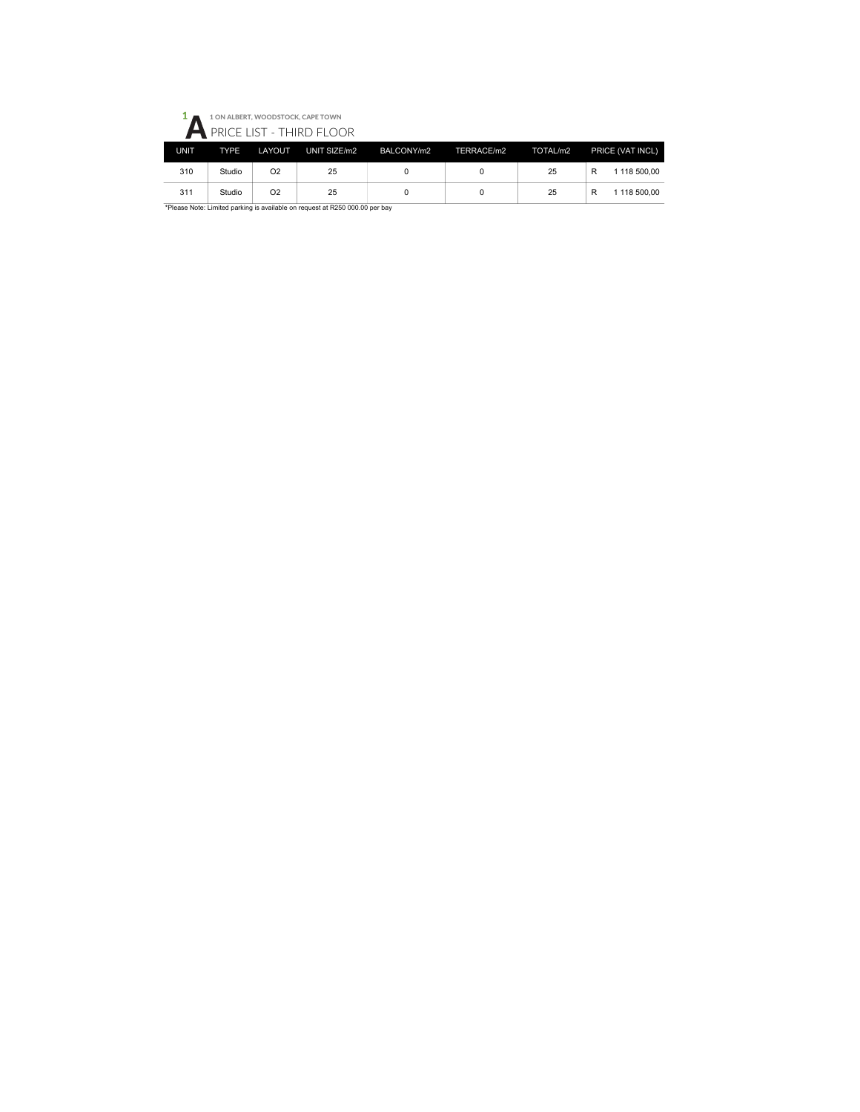|             | 1 ON ALBERT, WOODSTOCK, CAPE TOWN |                |              |            |            |          |                   |  |  |  |  |  |
|-------------|-----------------------------------|----------------|--------------|------------|------------|----------|-------------------|--|--|--|--|--|
|             | <b>A</b> PRICE LIST - THIRD FLOOR |                |              |            |            |          |                   |  |  |  |  |  |
| <b>UNIT</b> | <b>TYPE</b>                       | LAYOUT         | UNIT SIZE/m2 | BALCONY/m2 | TERRACE/m2 | TOTAL/m2 | PRICE (VAT INCL)  |  |  |  |  |  |
| 310         | Studio                            | O <sub>2</sub> | 25           | 0          |            | 25       | R<br>1 118 500.00 |  |  |  |  |  |
| 311         | Studio                            | O <sub>2</sub> | 25           | 0          |            | 25       | R<br>1 118 500.00 |  |  |  |  |  |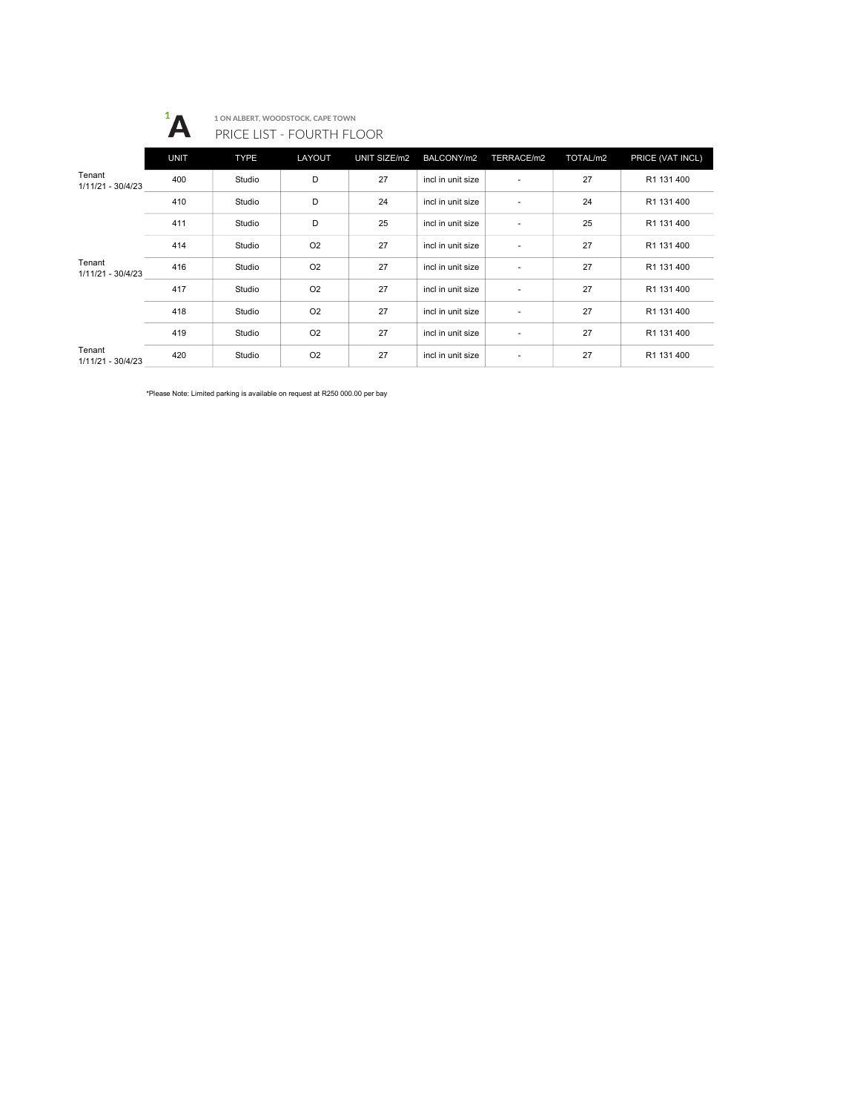

1 ON ALBERT, WOODSTOCK, CAPE TOWN PRICE LIST - FOURTH FLOOR

|                             | <b>UNIT</b> | <b>TYPE</b> | LAYOUT         | UNIT SIZE/m2 | BALCONY/m2        | TERRACE/m2               | TOTAL/m2 | PRICE (VAT INCL) |
|-----------------------------|-------------|-------------|----------------|--------------|-------------------|--------------------------|----------|------------------|
| Tenant<br>1/11/21 - 30/4/23 | 400         | Studio      | D              | 27           | incl in unit size | ٠                        | 27       | R1 131 400       |
|                             | 410         | Studio      | D              | 24           | incl in unit size | $\sim$                   | 24       | R1 131 400       |
|                             | 411         | Studio      | D              | 25           | incl in unit size | ٠                        | 25       | R1 131 400       |
|                             | 414         | Studio      | O <sub>2</sub> | 27           | incl in unit size | $\sim$                   | 27       | R1 131 400       |
| Tenant<br>1/11/21 - 30/4/23 | 416         | Studio      | O <sub>2</sub> | 27           | incl in unit size | ٠                        | 27       | R1 131 400       |
|                             | 417         | Studio      | O <sub>2</sub> | 27           | incl in unit size | ×                        | 27       | R1 131 400       |
|                             | 418         | Studio      | O <sub>2</sub> | 27           | incl in unit size | $\overline{\phantom{a}}$ | 27       | R1 131 400       |
|                             | 419         | Studio      | O <sub>2</sub> | 27           | incl in unit size | ٠                        | 27       | R1 131 400       |
| Tenant<br>1/11/21 - 30/4/23 | 420         | Studio      | O <sub>2</sub> | 27           | incl in unit size | ٠                        | 27       | R1 131 400       |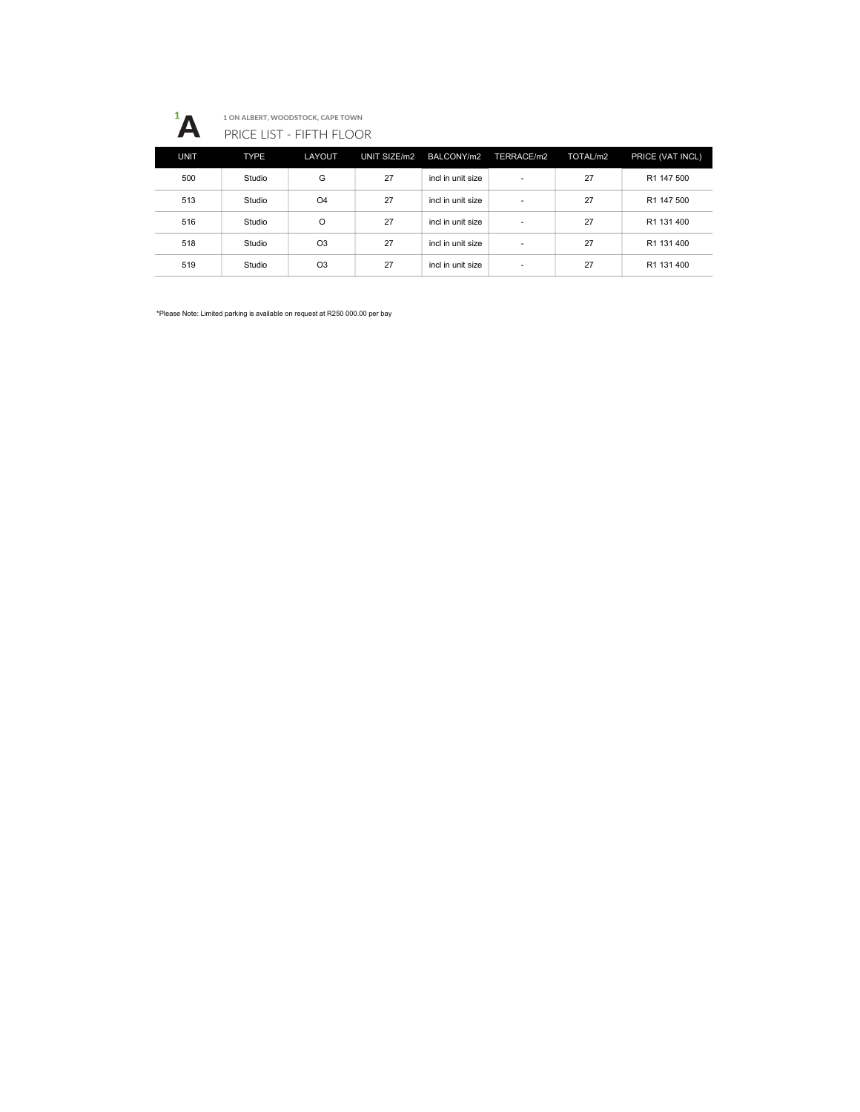

1 ON ALBERT, WOODSTOCK, CAPE TOWN PRICE LIST - FIFTH FLOOR

| <b>UNIT</b> | <b>TYPE</b> | LAYOUT         | UNIT SIZE/m2 | BALCONY/m2        | TERRACE/m2               | TOTAL/m2 | PRICE (VAT INCL) |
|-------------|-------------|----------------|--------------|-------------------|--------------------------|----------|------------------|
| 500         | Studio      | G              | 27           | incl in unit size | $\overline{\phantom{a}}$ | 27       | R1 147 500       |
| 513         | Studio      | O <sub>4</sub> | 27           | incl in unit size | ٠                        | 27       | R1 147 500       |
| 516         | Studio      | $\Omega$       | 27           | incl in unit size | ٠                        | 27       | R1 131 400       |
| 518         | Studio      | O <sub>3</sub> | 27           | incl in unit size | ۰                        | 27       | R1 131 400       |
| 519         | Studio      | O <sub>3</sub> | 27           | incl in unit size | ٠                        | 27       | R1 131 400       |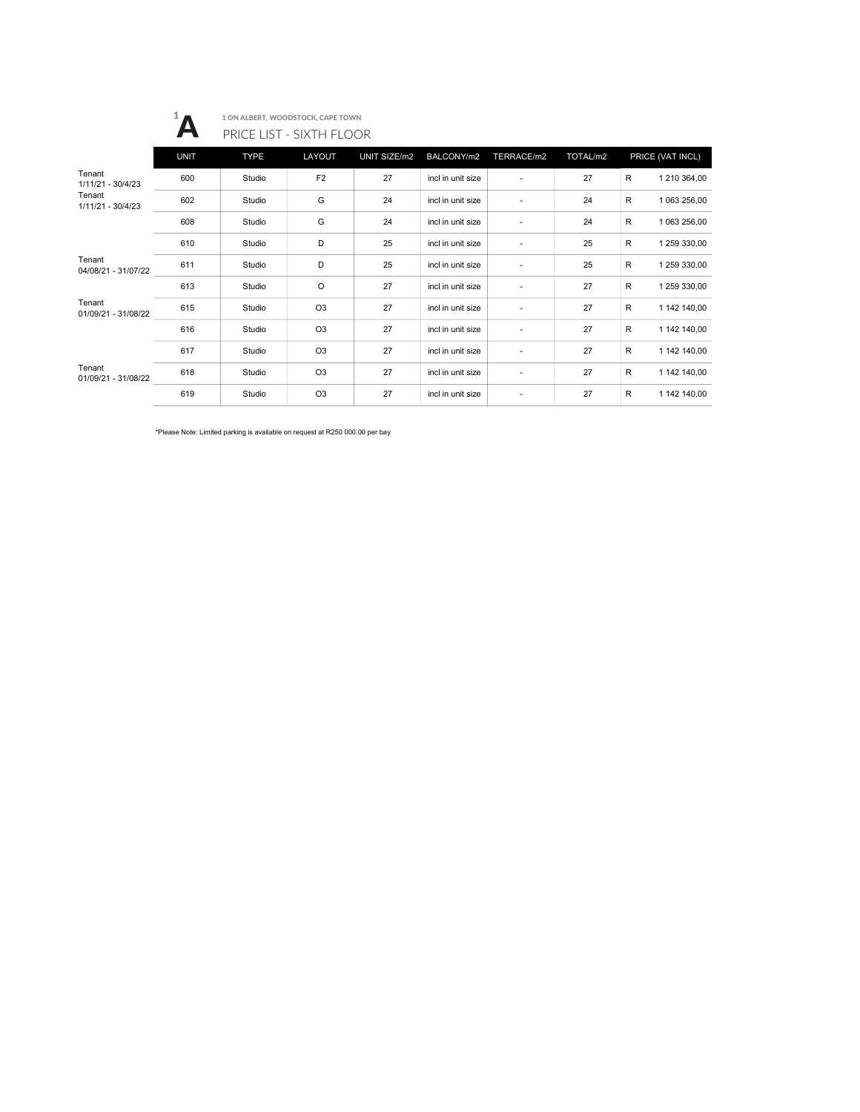

1 ON ALBERT, WOODSTOCK, CAPE TOWN PRICE LIST - SIXTH FLOOR

|                               | <b>UNIT</b> | <b>TYPE</b> | LAYOUT         | UNIT SIZE/m2 | BALCONY/m2        | TERRACE/m2               | TOTAL/m2 | PRICE (VAT INCL)  |
|-------------------------------|-------------|-------------|----------------|--------------|-------------------|--------------------------|----------|-------------------|
| Tenant<br>1/11/21 - 30/4/23   | 600         | Studio      | F <sub>2</sub> | 27           | incl in unit size | ٠                        | 27       | R<br>1 210 364,00 |
| Tenant<br>1/11/21 - 30/4/23   | 602         | Studio      | G              | 24           | incl in unit size | $\overline{a}$           | 24       | R<br>1 063 256,00 |
|                               | 608         | Studio      | G              | 24           | incl in unit size |                          | 24       | R<br>1 063 256,00 |
|                               | 610         | Studio      | D              | 25           | incl in unit size | ٠                        | 25       | R<br>1 259 330,00 |
| Tenant<br>04/08/21 - 31/07/22 | 611         | Studio      | D              | 25           | incl in unit size | $\blacksquare$           | 25       | R<br>1 259 330,00 |
|                               | 613         | Studio      | O              | 27           | incl in unit size | $\overline{\phantom{a}}$ | 27       | R<br>1 259 330,00 |
| Tenant<br>01/09/21 - 31/08/22 | 615         | Studio      | O <sub>3</sub> | 27           | incl in unit size | $\overline{a}$           | 27       | R<br>1 142 140,00 |
|                               | 616         | Studio      | O <sub>3</sub> | 27           | incl in unit size | $\overline{\phantom{a}}$ | 27       | R<br>1 142 140,00 |
|                               | 617         | Studio      | O <sub>3</sub> | 27           | incl in unit size | $\overline{\phantom{a}}$ | 27       | R<br>1 142 140,00 |
| Tenant<br>01/09/21 - 31/08/22 | 618         | Studio      | O <sub>3</sub> | 27           | incl in unit size | ٠                        | 27       | R<br>1 142 140,00 |
|                               | 619         | Studio      | O <sub>3</sub> | 27           | incl in unit size | $\overline{a}$           | 27       | R<br>1 142 140,00 |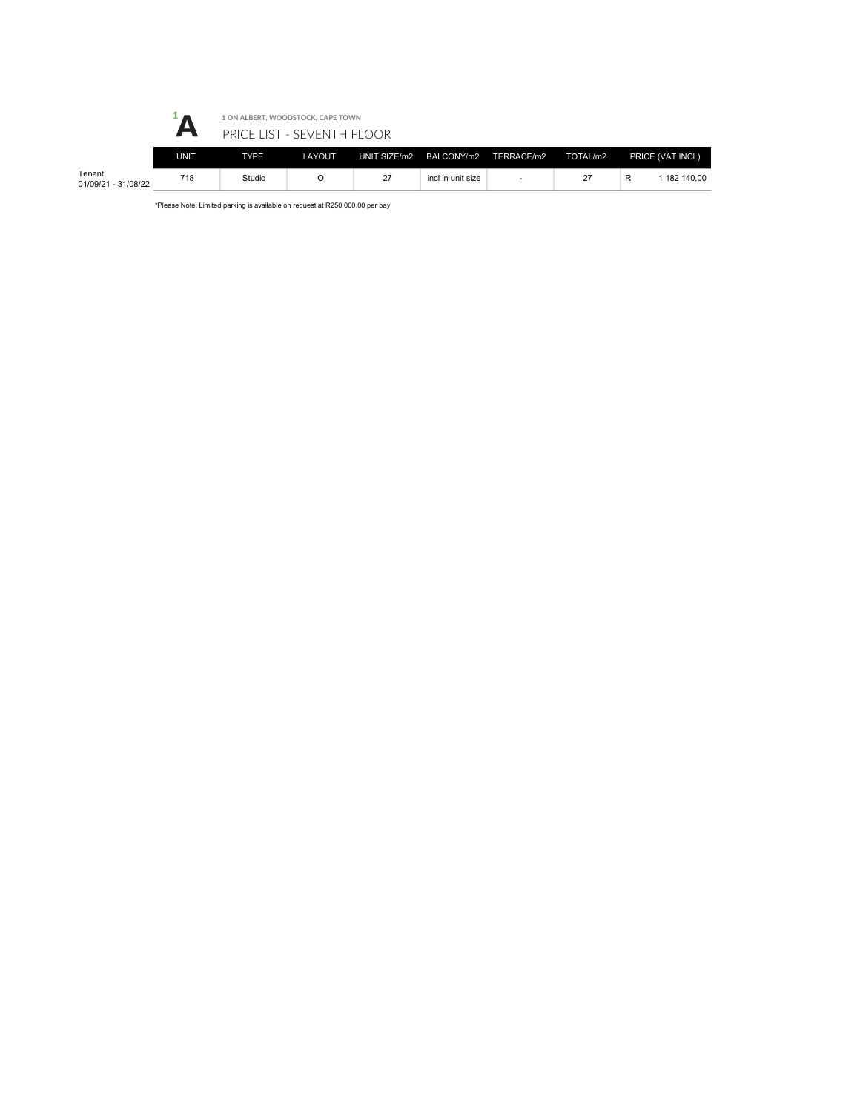|                               | $\blacktriangleright$ |             | 1 ON ALBERT. WOODSTOCK. CAPE TOWN<br>PRICE LIST - SEVENTH FLOOR |              |                   |            |          |                   |
|-------------------------------|-----------------------|-------------|-----------------------------------------------------------------|--------------|-------------------|------------|----------|-------------------|
|                               | UNIT                  | <b>TYPE</b> | LAYOUT                                                          | UNIT SIZE/m2 | BALCONY/m2        | TERRACE/m2 | TOTAL/m2 | PRICE (VAT INCL)  |
| Tenant<br>01/09/21 - 31/08/22 | 718                   | Studio      | O                                                               | 27           | incl in unit size |            | 27       | R<br>1 182 140.00 |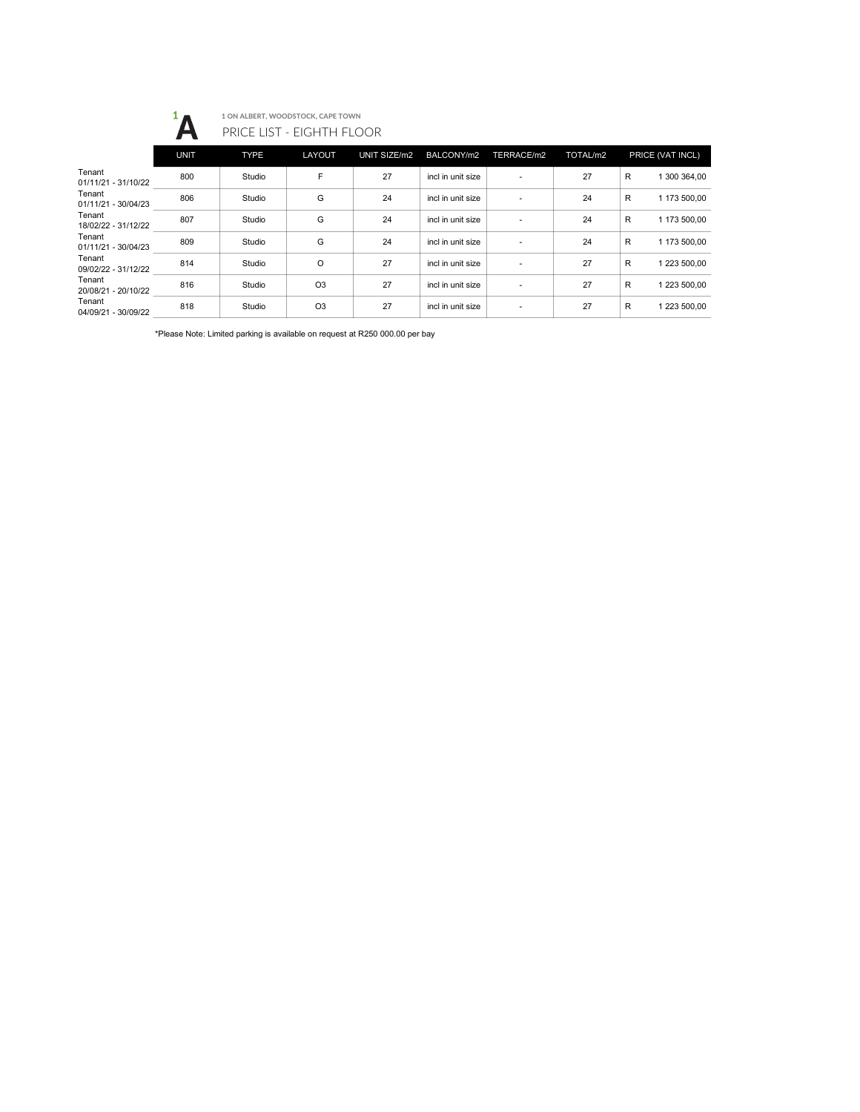

## 1 ON ALBERT, WOODSTOCK, CAPE TOWN PRICE LIST - EIGHTH FLOOR

|                               | <b>UNIT</b> | <b>TYPE</b> | LAYOUT         | UNIT SIZE/m2 | BALCONY/m2        | TERRACE/m2               | TOTAL/m2 | PRICE (VAT INCL)  |
|-------------------------------|-------------|-------------|----------------|--------------|-------------------|--------------------------|----------|-------------------|
| Tenant<br>01/11/21 - 31/10/22 | 800         | Studio      | F              | 27           | incl in unit size | $\overline{\phantom{a}}$ | 27       | R<br>1 300 364.00 |
| Tenant<br>01/11/21 - 30/04/23 | 806         | Studio      | G              | 24           | incl in unit size | $\overline{\phantom{a}}$ | 24       | R<br>1 173 500,00 |
| Tenant<br>18/02/22 - 31/12/22 | 807         | Studio      | G              | 24           | incl in unit size | $\overline{\phantom{a}}$ | 24       | R<br>1 173 500.00 |
| Tenant<br>01/11/21 - 30/04/23 | 809         | Studio      | G              | 24           | incl in unit size | $\overline{\phantom{a}}$ | 24       | R<br>1 173 500.00 |
| Tenant<br>09/02/22 - 31/12/22 | 814         | Studio      | O              | 27           | incl in unit size | $\overline{\phantom{a}}$ | 27       | R<br>1 223 500.00 |
| Tenant<br>20/08/21 - 20/10/22 | 816         | Studio      | O <sub>3</sub> | 27           | incl in unit size | $\overline{\phantom{a}}$ | 27       | R<br>1 223 500.00 |
| Tenant<br>04/09/21 - 30/09/22 | 818         | Studio      | O <sub>3</sub> | 27           | incl in unit size | $\overline{\phantom{a}}$ | 27       | R<br>1 223 500.00 |